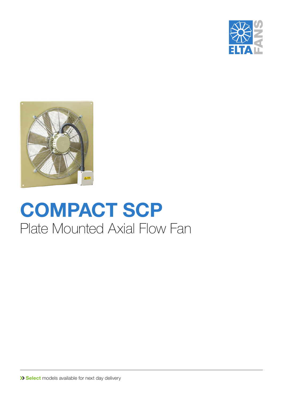



## **COMPACT SCP** Plate Mounted Axial Flow Fan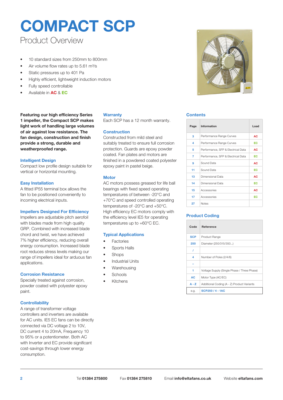### Product Overview

- 10 standard sizes from 250mm to 800mm
- Air volume flow rates up to 5.61 m<sup>3</sup>/s
- Static pressures up to 401 Pa
- Highly efficient, lightweight induction motors
- Fully speed controllable
- Available in **AC** & **EC**

**Featuring our high efficiency Series 1 impeller, the Compact SCP makes light work of handling large volumes of air against low resistance. The fan design, construction and finish provide a strong, durable and weatherproofed range.**

#### **Intelligent Design**

Compact low profile design suitable for vertical or horizontal mounting.

#### **Easy Installation**

A fitted IP55 terminal box allows the fan to be positioned conveniently to incoming electrical inputs.

#### **Impellers Designed For Efficiency**

Impellers are adjustable pitch aerofoil with blades made from high quality GRP. Combined with increased blade chord and twist, we have achieved 7% higher efficiency, reducing overall energy consumption. Increased blade root reduces stress levels making our range of impellers ideal for arduous fan applications.

#### **Corrosion Resistance**

Specially treated against corrosion, powder coated with polyester epoxy paint.

#### **Controllability**

A range of transformer voltage controllers and inverters are available for AC units. IE5 EC fans can be directly connected via DC voltage 2 to 10V, DC current 4 to 20mA, Frequency 10 to 95% or a potentiometer. Both AC with Inverter and EC provide significant cost-savings through lower energy consumption.

#### **Warranty**

Each SCP has a 12 month warranty.

#### **Construction**

Constructed from mild steel and suitably treated to ensure full corrosion protection. Guards are epoxy powder coated. Fan plates and motors are finished in a powdered coated polyester epoxy paint in pastel beige.

#### **Motor**

AC motors possess greased for life ball bearings with fixed speed operating temperatures of between -20°C and +70°C and speed controlled operating temperatures of -20°C and +50°C. High efficiency EC motors comply with the efficiency level IE5 for operating temperatures up to +60°C EC.

#### **Typical Applications**

- **Factories**
- Sports Halls
- Shops
- **Industrial Units**
- **Warehousing**
- Schools
- Kitchens



#### **Contents**

| Page | Information                        | <b>Load</b> |
|------|------------------------------------|-------------|
| 3    | Performance Range Curves           | AC          |
| 4    | Performance Range Curves           | EC          |
| 5    | Performance, SFP & Electrical Data | AC          |
| 7    | Performance, SFP & Electrical Data | EC          |
| 9    | Sound Data                         | AC          |
| 11   | Sound Data                         | EC          |
| 13   | Dimensional Data                   | AC          |
| 14   | Dimensional Data                   | EC          |
| 15   | Accessories                        | AC          |
| 17   | Accessories                        | EC          |
| 27   | <b>Notes</b>                       |             |

#### **Product Coding**

| Code       | Reference                                   |
|------------|---------------------------------------------|
| <b>SCP</b> | Product Range                               |
| 250        | Diameter (250/315/350)                      |
| I          |                                             |
| 4          | Number of Poles (2/4/6)                     |
|            |                                             |
| 1          | Voltage Supply (Single Phase / Three Phase) |
| AC         | Motor Type (AC/EC)                          |
| $A - Z$    | Additional Coding (A - Z) Product Variants  |
| e.g.       | SCP250/4-1AC                                |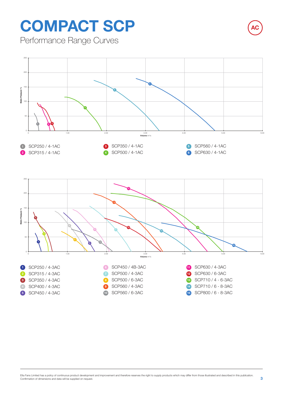Performance Range Curves





**AC**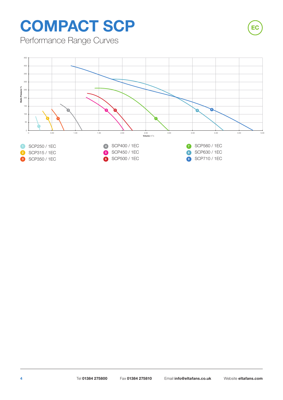Performance Range Curves



**EC**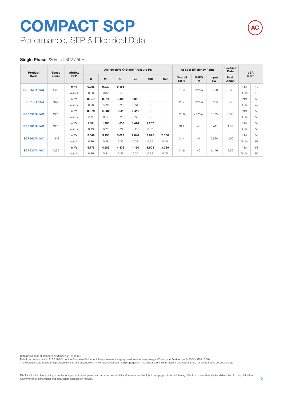Performance, SFP & Electrical Data

#### **Single Phase** 220V to 240V / 50Hz

| Product<br>Code     | Speed<br>r/min              | Airflow    |              |       | Airflow m <sup>3</sup> /s @ Static Pressure Pa |                          |                          |                          |                 | <b>At Best Efficiency Point</b> |             | <b>Electrical</b><br>Data | dBA    |    |
|---------------------|-----------------------------|------------|--------------|-------|------------------------------------------------|--------------------------|--------------------------|--------------------------|-----------------|---------------------------------|-------------|---------------------------|--------|----|
|                     |                             | <b>SFP</b> | $\mathbf{0}$ | 25    | 50                                             | 75                       | 100                      | 150                      | Overall<br>Eff% | <b>FMEG</b><br>N                | Input<br>kW | Peak<br>Amps              | @ 3m   |    |
|                     |                             | $m^3/s$    | 0.265        | 0.239 | 0.186                                          | $\overline{\phantom{a}}$ | $\overline{\phantom{a}}$ | $\overline{\phantom{a}}$ |                 |                                 |             |                           | Inlet  | 42 |
| <b>SCP250/4-1AC</b> | 1445                        | W/(L/s)    | 0.28         | 0.32  | 0.42                                           | $\overline{\phantom{a}}$ | $\overline{\phantom{a}}$ | $\overline{\phantom{a}}$ | 12.0            | $<$ 125W                        | 0.080       | 0.38                      | Outlet | 42 |
|                     |                             | $m^3/s$    | 0.557        | 0.514 | 0.435                                          | 0.355                    | $\sim$                   | $\overline{\phantom{a}}$ |                 |                                 |             |                           | Inlet  | 50 |
|                     | <b>SCP315/4-1AC</b><br>1370 | W/(L/s)    | 0.20         | 0.22  | 0.26                                           | 0.34                     | $\overline{\phantom{a}}$ | $\overline{\phantom{a}}$ | 22.7            | $<$ 125W                        | 0.120       | 0.56                      | Outlet | 49 |
| <b>SCP350/4-1AC</b> |                             | $m^3/s$    | 0.679        | 0.602 | 0.523                                          | 0.411                    | $\sim$                   | $\overline{\phantom{a}}$ | 25.6            |                                 |             |                           | Inlet  | 50 |
|                     | 1360                        | W/(L/s)    | 0.15         | 0.19  | 0.23                                           | 0.30                     | $\overline{\phantom{a}}$ | $\overline{\phantom{a}}$ |                 | $<$ 125W                        | 0.120       | 0.65                      | Outlet | 50 |
|                     |                             | $m^3/s$    | 1.881        | 1.783 | 1.638                                          | 1.474                    | 1.267                    | $\sim$                   |                 |                                 |             |                           | Inlet  | 58 |
| <b>SCP500/4-1AC</b> | 1300                        | W/(L/s)    | 0.19         | 0.21  | 0.24                                           | 0.28                     | 0.32                     | $\sim$                   | 31.2            | 40                              | 0.411       | 1.82                      | Outlet | 57 |
|                     |                             | $m^3/s$    | 3.349        | 3.198 | 3.029                                          | 2.840                    | 2.625                    | 2.080                    |                 |                                 |             |                           | Inlet  | 58 |
| <b>SCP560/4-1AC</b> | 1315                        | W/(L/s)    | 0.26         | 0.28  | 0.30                                           | 0.32                     | 0.35                     | 0.44                     | 34.4            | 41                              | 0.920       | 4.90                      | Outlet | 62 |
| <b>SCP630/4-1AC</b> |                             | $m^3/s$    | 4.776        | 4.586 | 4.376                                          | 4.150                    | 3.903                    | 3.289                    | 34.8<br>40      |                                 |             |                           | Inlet  | 63 |
|                     | 1295                        | W/(L/s)    | 0.29         | 0.31  | 0.33                                           | 0.35                     | 0.38                     | 0.45                     |                 |                                 | 1.446       | 6.50                      | Outlet | 65 |

Data provided is at standard air density of 1.2 kg/m³.

Data in accordance with ErP 327/2011 of the European Parliament. Measurement category used to determine energy efficiency: A.Peak Amps @ 230V / 1PH / 50Hz.<br>The overall A-weighted sound pressure level is at a distance of 3m

**AC**

Elta Fans Limited has a policy of continuous product development and improvement and therefore reserves the right to supply products which may differ from those illustrated and described in this publication.<br>Confirmation o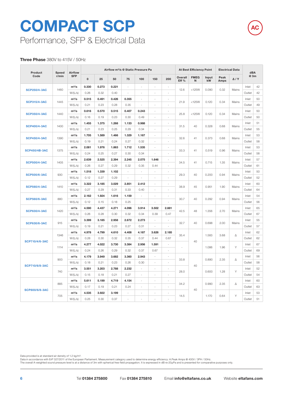Performance, SFP & Electrical Data

#### **Three Phase** 380V to 415V / 50Hz

| Product               | Speed   | <b>Airflow</b> |             |       | Airflow m <sup>3</sup> /s @ Static Pressure Pa |                          |                          |                          |                          |                 | <b>At Best Efficiency Point</b> |             |              | <b>Electrical Data</b> | dBA    |    |
|-----------------------|---------|----------------|-------------|-------|------------------------------------------------|--------------------------|--------------------------|--------------------------|--------------------------|-----------------|---------------------------------|-------------|--------------|------------------------|--------|----|
| Code                  | r/min   | <b>SFP</b>     | $\mathbf 0$ | 25    | 50                                             | 75                       | 100                      | 150                      | 200                      | Overall<br>Eff% | <b>FMEG</b><br>N                | Input<br>kW | Peak<br>Amps | $\Delta/Y$             | @ 3m   |    |
|                       |         | $m^3/s$        | 0.330       | 0.273 | 0.221                                          | ÷.                       | ÷.                       | ÷.                       | ÷.                       |                 |                                 |             |              |                        | Inlet  | 42 |
| <b>SCP250/4-3AC</b>   | 1460    | W/(L/s)        | 0.26        | 0.32  | 0.40                                           | $\sim$                   | ÷,                       | $\overline{a}$           | ÷,                       | 12.6            | $<$ 125W                        | 0.090       | 0.32         | Mains                  | Outlet | 42 |
|                       |         | $m^3/s$        | 0.515       | 0.491 | 0.426                                          | 0.355                    | $\bar{z}$                | ÷,                       | $\ddot{\phantom{1}}$     |                 |                                 |             |              |                        | Inlet  | 50 |
| <b>SCP315/4-3AC</b>   | 1445    | W/(L/s)        | 0.21        | 0.23  | 0.28                                           | 0.35                     | ÷,                       | L.                       |                          | 21.9            | $<$ 125W                        | 0.120       | 0.34         | Mains                  | Outlet | 49 |
|                       |         | $m^3/s$        | 0.616       | 0.570 | 0.515                                          | 0.407                    | 0.243                    | l,                       |                          |                 |                                 |             |              |                        | Inlet  | 50 |
| <b>SCP350/4-3AC</b>   | 1440    | W/(L/s)        | 0.16        | 0.19  | 0.23                                           | 0.30                     | 0.49                     | l,                       |                          | 25.8            | $<$ 125W                        | 0.120       | 0.34         | Mains                  | Outlet | 50 |
|                       |         | $m^3/s$        | 1.455       | 1.375 | 1.268                                          | 1.133                    | 0.988                    | ä,                       | ä,                       |                 |                                 |             |              |                        | Inlet  | 51 |
| <b>SCP400/4-3AC</b>   | 1400    | W/(L/s)        | 0.21        | 0.23  | 0.25                                           | 0.29                     | 0.34                     | ÷,                       | ä,                       | 31.5            | 40                              | 0.328       | 0.68         | Mains                  | Outlet | 55 |
|                       |         | $m^3/s$        | 1.705       | 1.589 | 1.466                                          | 1.329                    | 1.167                    | ÷,                       | ÷,                       |                 |                                 |             |              |                        | Inlet  | 53 |
| <b>SCP450/4-3AC</b>   | 1390    | W/(L/s)        | 0.19        | 0.21  | 0.24                                           | 0.27                     | 0.32                     | ä,                       | ä,                       | 32.6            | 41                              | 0.373       | 0.68         | Mains                  | Outlet | 58 |
| <b>SCP450/4B-3AC</b>  | 1375    | $m^3/s$        | 2.081       | 1.976 | 1.863                                          | 1.712                    | 1.535                    |                          |                          | 33.3            | 41                              | 0.519       | 0.96         | Mains                  | Inlet  | 53 |
|                       |         | W/(L/s)        | 0.24        | 0.25  | 0.27                                           | 0.30                     | 0.34                     | ÷,                       |                          |                 |                                 |             |              |                        | Outlet | 58 |
|                       |         | $m^3/s$        | 2.639       | 2.525 | 2.394                                          | 2.245                    | 2.075                    | 1.646                    | ÷.                       |                 | 41                              |             |              |                        | Inlet  | 57 |
| <b>SCP500/4-3AC</b>   | 1405    | W/(L/s)        | 0.26        | 0.27  | 0.29                                           | 0.32                     | 0.35                     | 0.44                     | ÷,                       | 34.5            |                                 | 0.715       | 1.35         | Mains                  | Outlet | 61 |
| <b>SCP500/6-3AC</b>   | 930     | $m^3/s$        | 1.518       | 1.339 | 1.102                                          | $\overline{\phantom{a}}$ | $\ddot{\phantom{1}}$     | ÷                        | $\ddot{\phantom{1}}$     | 29.3            | 40                              | 0.200       | 0.94         |                        | Inlet  | 50 |
|                       |         | W/(L/s)        | 0.12        | 0.27  | 0.29                                           | $\sim$                   | L.                       | L.                       | J.                       |                 |                                 |             |              | Mains                  | Outlet | 52 |
| <b>SCP560/4-3AC</b>   | 1410    | $m^3/s$        | 3.322       | 3.185 | 3.029                                          | 2.851                    | 2.412                    | ä,                       | ä,                       | 38.9            | 45                              | 0.951       | 1.90         | Mains                  | Inlet  | 60 |
|                       |         | W/(L/s)        | 0.27        | 0.29  | 0.31                                           | 0.33                     | 0.40                     | ÷,                       | ä,                       |                 |                                 |             |              |                        | Outlet | 64 |
| <b>SCP560/6-3AC</b>   | 880     | $m^3/s$        | 2.162       | 1.924 | 1.616                                          | 1.159                    | ÷,                       | ä,                       | ä,                       | 30.7            | 40                              | 0.292       | 0.94         | Mains                  | Inlet  | 54 |
|                       |         | W/(L/s)        | 0.12        | 0.15  | 0.18                                           | 0.25                     | $\overline{\phantom{a}}$ | $\overline{\phantom{a}}$ | $\overline{\phantom{a}}$ |                 |                                 |             |              |                        | Outlet | 56 |
| <b>SCP630/4-3AC</b>   | 1420    | $m^3/s$        | 4.590       | 4.437 | 4.271                                          | 4.096                    | 3.914                    | 3.502                    | 2.881                    | 42.5            | 48                              | 1.356       | 2.70         | Mains                  | Inlet  | 65 |
|                       |         | W/(L/s)        | 0.26        | 0.28  | 0.30                                           | 0.32                     | 0.34                     | 0.39                     | 0.47                     |                 |                                 |             |              |                        | Outlet | 67 |
| <b>SCP630/6-3AC</b>   | 915     | $m^3/s$        | 3.399       | 3.185 | 2.958                                          | 2.672                    | 2.273                    |                          |                          | 32.7            | 40                              | 0.698       | 2.00         | Mains                  | Inlet  | 55 |
|                       |         | W/(L/s)        | 0.19        | 0.21  | 0.23                                           | 0.27                     | 0.31                     | $\sim$                   | J.                       |                 |                                 |             |              |                        | Outlet | 57 |
|                       | 1346    | $m^3/s$        | 4.978       | 4.799 | 4.610                                          | 4.408                    | 4.187                    | 3.626                    | 2.185                    | 35.4            |                                 | 1.583       | 3.68         | Δ                      | Inlet  | 62 |
| <b>SCP710/4/6-3AC</b> |         | W/(L/s)        | 0.28        | 0.30  | 0.32                                           | 0.35                     | 0.37                     | 0.44                     | 0.67                     |                 | 40                              |             |              |                        | Outlet | 62 |
|                       | 1114    | $m^3/s$        | 4.277       | 4.022 | 3.730                                          | 3.384                    | 2.956                    | 1.591                    | $\ddot{\phantom{1}}$     |                 |                                 | 1.086       | 1.96         | Υ                      | Inlet  | 67 |
|                       |         | W/(L/s)        | 0.24        | 0.26  | 0.29                                           | 0.32                     | 0.37                     | 0.67                     | $\overline{a}$           |                 |                                 |             |              |                        | Outlet | 69 |
|                       |         | $m^3/s$        | 4.179       | 3.949 | 3.682                                          | 3.360                    | 2.943                    | $\overline{\phantom{a}}$ | L,                       |                 |                                 |             |              |                        | Inlet  | 56 |
|                       | 900     | W/(L/s)        | 0.18        | 0.21  | 0.23                                           | 0.26                     | 0.30                     | L.                       | L.                       | 33.8            |                                 | 0.890       | 2.35         | Δ                      | Outlet | 58 |
| <b>SCP710/6/8-3AC</b> | 740     | $m^3/s$        | 3.551       | 3.203 | 2.788                                          | 2.232                    | ÷,                       | ÷,                       | ÷                        | 40              | 0.600                           |             | Y            | Inlet                  | 52     |    |
|                       |         | W/(L/s)        | 0.15        | 0.18  | 0.21                                           | 0.27                     | ÷,                       | $\overline{a}$           | $\sim$                   |                 | 28.0                            |             | 1.28         |                        | Outlet | 54 |
|                       |         | $m^3/s$        | 5.611       | 5.199 | 4.719                                          | 4.154                    | $\overline{\phantom{a}}$ | ÷,                       | $\overline{\phantom{a}}$ |                 |                                 |             |              |                        | Inlet  | 60 |
|                       | 885     | W/(L/s)        | 0.17        | 0.19  | 0.21                                           | 0.24                     | ä,                       |                          |                          | 34.2            |                                 | 0.990       | 2.35         | Δ                      | Outlet | 63 |
|                       |         | $m^3/s$        | 4.535       | 3.922 | 3.199                                          | l,                       | L,                       | ä,                       |                          | 40              |                                 |             |              | Inlet                  | 53     |    |
| SCP800/6/8-3AC<br>705 | W/(L/s) | 0.25           | 0.30        | 0.37  | ÷,                                             |                          |                          | L.                       | 14.5                     |                 | 1.170                           | 0.64        | Y            | Outlet                 | 51     |    |

Data provided is at standard air density of 1.2 kg/m³.

Data in accordance with ErP 327/2011 of the European Parliament. Measurement category used to determine energy efficiency: A.Peak Amps @ 400V / 3PH / 50Hz.<br>The overall A-weighted sound pressure level is at a distance of 3m



**AC**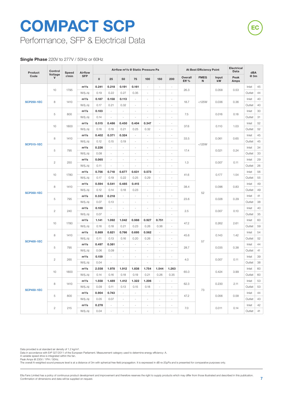Performance, SFP & Electrical Data

#### **Single Phase** 220V to 277V / 50Hz or 60Hz

| Product           | Control                 | Speed | Airflow    |             |                          |                          | Airflow m <sup>3</sup> /s @ Static Pressure Pa |                          |                          |                          |                  | At Best Efficiency Point |             | Electrical<br>Data | dBA    |    |
|-------------------|-------------------------|-------|------------|-------------|--------------------------|--------------------------|------------------------------------------------|--------------------------|--------------------------|--------------------------|------------------|--------------------------|-------------|--------------------|--------|----|
| Code              | Voltage<br>$\mathsf{V}$ | r/min | <b>SFP</b> | $\mathbf 0$ | 25                       | 50                       | 75                                             | 100                      | 150                      | 200                      | Overall<br>Eff % | <b>FMEG</b><br>N         | Input<br>kW | Peak<br>Amps       | @ 3m   |    |
|                   |                         |       | $m^3/s$    | 0.241       | 0.218                    | 0.191                    | 0.161                                          | $\sim$                   | $\blacksquare$           | $\sim$                   |                  |                          |             |                    | Inlet  | 45 |
|                   | 10                      | 1795  | W/(L/s)    | 0.19        | 0.22                     | 0.27                     | 0.35                                           | $\sim$                   | $\sim$                   | $\sim$                   | 26.3             |                          | 0.058       | 0.53               | Outlet | 44 |
|                   |                         |       | $m^3/s$    | 0.187       | 0.158                    | 0.113                    | ÷,                                             | ÷,                       | $\overline{a}$           | ÷,                       |                  |                          |             |                    | Inlet  | 40 |
| <b>SCP250-1EC</b> | 8                       | 1410  | W/(L/s)    | 0.17        | 0.21                     | 0.32                     | $\sim$                                         | $\sim$                   | ÷,                       | ä,                       | 18.7             | $<$ 125W                 | 0.036       | 0.36               | Outlet | 40 |
|                   | 5                       | 800   | $m^3/s$    | 0.103       | $\overline{\phantom{a}}$ | $\overline{\phantom{a}}$ | $\overline{\phantom{a}}$                       | $\overline{\phantom{a}}$ | $\blacksquare$           | $\overline{\phantom{a}}$ | 7.5              |                          | 0.016       | 0.18               | Inlet  | 30 |
|                   |                         |       | W/(L/s)    | 0.14        | $\overline{\phantom{a}}$ | $\sim$                   | $\sim$                                         | $\sim$                   | $\overline{\phantom{a}}$ | $\sim$                   |                  |                          |             |                    | Outlet | 31 |
|                   | 10                      | 1800  | $m^3/s$    | 0.515       | 0.486                    | 0.450                    | 0.404                                          | 0.347                    | ÷.                       | $\overline{a}$           | 37.6             |                          | 0.110       | 1.03               | Inlet  | 52 |
|                   |                         |       | W/(L/s)    | 0.16        | 0.18                     | 0.21                     | 0.25                                           | 0.32                     | ÷.                       | $\sim$                   |                  |                          |             |                    | Outlet | 52 |
|                   | 8                       | 1410  | $m^3/s$    | 0.402       | 0.371                    | 0.324                    | $\overline{\phantom{a}}$                       | $\sim$                   | $\blacksquare$           | $\sim$                   | 33.5             |                          | 0.061       | 0.65               | Inlet  | 45 |
| <b>SCP315-1EC</b> |                         |       | W/(L/s)    | 0.12        | 0.15                     | 0.19                     | $\sim$                                         | $\sim$                   | $\sim$                   | $\sim$                   |                  | $<$ 125 $W$              |             |                    | Outlet | 45 |
|                   | $\,$ 5                  | 795   | $m^3/s$    | 0.226       | ÷,                       |                          | ÷,                                             | ÷,                       | $\overline{a}$           | ÷,                       | 17.4             |                          | 0.021       | 0.24               | Inlet  | 34 |
|                   |                         |       | W/(L/s)    | 0.08        | $\sim$                   | $\sim$                   | $\sim$                                         | $\sim$                   | $\overline{\phantom{a}}$ | ÷                        |                  |                          |             |                    | Outlet | 33 |
|                   | $\overline{c}$          | 250   | $m^3/s$    | 0.065       | $\bar{\phantom{a}}$      | $\bar{\phantom{a}}$      | $\overline{\phantom{a}}$                       | $\blacksquare$           | $\overline{\phantom{a}}$ | $\overline{\phantom{a}}$ | 1.3              |                          | 0.007       | 0.11               | Inlet  | 29 |
|                   |                         |       | W/(L/s)    | 0.11        | ÷.                       | $\sim$                   | $\sim$                                         | $\sim$                   | $\sim$                   | $\sim$                   |                  |                          |             |                    | Outlet | 26 |
|                   | 10                      | 1780  | $m^3/s$    | 0.756       | 0.718                    | 0.677                    | 0.631                                          | 0.573                    | ÷.                       | ÷,                       | 41.6             |                          | 0.177       | 1.54               | Inlet  | 56 |
|                   |                         |       | W/(L/s)    | 0.17        | 0.19                     | 0.22                     | 0.25                                           | 0.29                     | $\blacksquare$           | $\overline{\phantom{a}}$ |                  |                          |             |                    | Outlet | 55 |
|                   | 8<br>1410               |       | $m^3/s$    | 0.594       | 0.541                    | 0.485                    | 0.415                                          | $\sim$                   | $\blacksquare$           | $\sim$                   | 38.4             |                          | 0.096       | 0.83               | Inlet  | 49 |
| <b>SCP350-1EC</b> |                         |       | W/(L/s)    | 0.12        | 0.14                     | 0.18                     | 0.23                                           | ÷.                       | ÷.                       | ÷.                       |                  | 52                       |             |                    | Outlet | 49 |
|                   | $\,$ 5                  | 795   | $m^3/s$    | 0.333       | 0.218                    |                          |                                                | ÷,                       | $\overline{a}$           |                          | 23.6             |                          | 0.028       | 0.29               | Inlet  | 41 |
|                   |                         |       | W/(L/s)    | 0.07        | 0.13                     | $\overline{\phantom{a}}$ | $\overline{\phantom{a}}$                       | $\overline{\phantom{a}}$ | $\frac{1}{2}$            | ÷,                       |                  |                          |             |                    | Outlet | 38 |
|                   | $\sqrt{2}$              | 240   | $m^3/s$    | 0.100       | $\bar{z}$                | $\sim$                   | $\sim$                                         | $\sim$                   | ÷,                       | $\sim$                   | 2.5              |                          | 0.007       | 0.10               | Inlet  | 40 |
|                   |                         |       | W/(L/s)    | 0.07        | $\sim$                   | $\sim$                   | ÷,                                             | ÷,                       | $\sim$                   | ÷,                       |                  |                          |             |                    | Outlet | 35 |
|                   | 10                      | 1780  | $m^3/s$    | 1.141       | 1.092                    | 1.042                    | 0.988                                          | 0.927                    | 0.751                    | ÷,                       | 47.2             |                          | 0.262       | 2.61               | Inlet  | 60 |
|                   |                         |       | W/(L/s)    | 0.16        | 0.18                     | 0.21                     | 0.23                                           | 0.26                     | 0.36                     | $\sim$                   |                  |                          |             |                    | Outlet | 59 |
|                   | 8                       | 1410  | $m^3/s$    | 0.869       | 0.821                    | 0.766                    | 0.695                                          | 0.562                    | $\sim$                   | ÷.                       | 45.6             |                          | 0.143       | 1.42               | Inlet  | 54 |
| <b>SCP400-1EC</b> |                         |       | W/(L/s)    | 0.11        | 0.13                     | 0.16                     | 0.20                                           | 0.26                     | $\sim$                   | ä,                       |                  | 57                       |             |                    | Outlet | 52 |
|                   | 5                       | 795   | $m^3/s$    | 0.497       | 0.381                    | ÷,                       | ä,                                             | ä,                       | ÷,                       | ä,                       | 28.7             |                          | 0.035       | 0.38               | Inlet  | 44 |
|                   |                         |       | W/(L/s)    | 0.06        | 0.09                     | $\overline{\phantom{a}}$ | $\overline{\phantom{a}}$                       | $\overline{\phantom{a}}$ | $\overline{\phantom{a}}$ | ÷,                       |                  |                          |             |                    | Outlet | 41 |
|                   | $\mathbf{2}$            | 265   | $m^3/s$    | 0.159       | $\sim$                   | $\sim$                   | $\sim$                                         | $\sim$                   | ÷,                       | $\sim$                   | 4.0              |                          | 0.007       | 0.11               | Inlet  | 39 |
|                   |                         |       | W/(L/s)    | 0.04        | ÷,                       | $\sim$                   | ÷,                                             | ÷,                       | $\blacksquare$           | ÷,                       |                  |                          |             |                    | Outlet | 38 |
|                   | 10                      | 1800  | $m^3/s$    | 2.038       | 1.978                    | 1.912                    | 1.838                                          | 1.754                    | 1.544                    | 1.263                    | 65.0             |                          | 0.424       | 3.99               | Inlet  | 60 |
|                   |                         |       | W/(L/s)    | 0.14        | 0.16                     | 0.18                     | 0.19                                           | 0.21                     | 0.26                     | 0.35                     |                  |                          |             |                    | Outlet | 60 |
|                   | 8                       | 1410  | $m^3/s$    | 1.558       | 1.489                    | 1.412                    | 1.322                                          | 1.206                    | $\overline{\phantom{a}}$ | $\sim$                   | 62.3             |                          | 0.230       | 2.11               | Inlet  | 53 |
| <b>SCP450-1EC</b> |                         |       | W/(L/s)    | 0.09        | 0.11                     | 0.13                     | 0.15                                           | 0.18                     | $\blacksquare$           | $\sim$                   |                  | 73                       |             |                    | Outlet | 53 |
|                   | 5                       | 800   | $m^3/s$    | 0.904       | 0.743                    | $\overline{\phantom{a}}$ | $\bar{\phantom{a}}$                            | $\omega$                 | ÷.                       | ÷,                       | 47.2             |                          | 0.056       | 0.58               | Inlet  | 44 |
|                   |                         |       | W/(L/s)    | 0.05        | 0.07                     | $\sim$                   | $\overline{\phantom{a}}$                       | $\sim$                   | $\overline{\phantom{a}}$ | $\sim$                   |                  |                          |             |                    | Outlet | 43 |
|                   | $\mathbf{2}$            | 215   | $m^3/s$    | 0.278       | ÷.                       | $\sim$                   | $\overline{\phantom{a}}$                       | $\sim$                   | $\blacksquare$           | $\sim$                   | 7.0              |                          | 0.011       | 0.14               | Inlet  | 42 |
|                   |                         |       | W/(L/s)    | 0.04        | $\bar{\phantom{a}}$      | $\sim$                   |                                                | ÷                        | ÷,                       |                          |                  |                          |             |                    | Outlet | 41 |

Data provided is at standard air density of 1.2 kg/m<sup>3</sup>.

Data in accordance with ErP 327/2011 of the European Parliament. Measurement category used to determine energy efficiency: A. A variable speed drive is integrated within the fan.

Peak Amps @ 230V / 1PH / 50Hz.<br>The overall A-weighted sound pressure level is at a distance of 3m with spherical free-field propagation. It is expressed in dB re-20µPa and is presented for comparative purposes only.

Elta Fans Limited has a policy of continuous product development and improvement and therefore reserves the right to supply products which may differ from those illustrated and described in this publication.<br>Confirmation o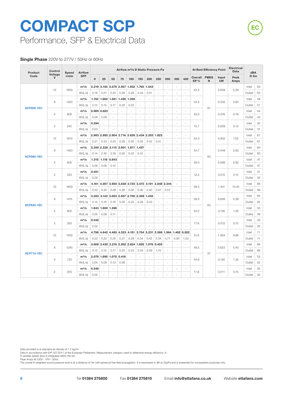Performance, SFP & Electrical Data

#### **Single Phase** 220V to 277V / 50Hz or 60Hz

| Product           | <b>Airflow</b>          |                |            |              |                   |        |                                     | Airflow m <sup>3</sup> /s @ Static Pressure Pa |                     |        |                          |        |                     | At Best Efficiency Point |                  | Electrical<br>Data | dBA         |              |        |    |
|-------------------|-------------------------|----------------|------------|--------------|-------------------|--------|-------------------------------------|------------------------------------------------|---------------------|--------|--------------------------|--------|---------------------|--------------------------|------------------|--------------------|-------------|--------------|--------|----|
| Code              | Voltage<br>$\mathsf{V}$ | Speed<br>r/min | <b>SFP</b> | $\mathbf{0}$ | 25                | 50     | 75                                  | 100                                            | 150                 | 200    | 250                      | 300    | 350                 | 400                      | Overall<br>Eff % | <b>FMEG</b><br>N   | Input<br>kW | Peak<br>Amps | @ 3m   |    |
|                   | 10                      | 1800           | $m^3/s$    | 2.219        | 2.150             | 2.079  | 2.007                               |                                                | 1.932 1.765         | 1.543  | ÷.                       | $\sim$ | ÷                   | ÷,                       | 53.4             |                    | 0.639       | 5.29         | Inlet  | 63 |
|                   |                         |                | W/(L/s)    | 0.19         | 0.21              | 0.24   | 0.26                                | 0.28                                           | 0.34                | 0.41   | $\overline{a}$           | ÷.     | ÷.                  | $\sim$                   |                  |                    |             |              | Outlet | 63 |
|                   | 8                       | 1420           | $m^3/s$    |              | 1.742 1.662 1.561 |        | 1.456                               | 1.356                                          | ÷                   |        |                          |        | $\overline{a}$      | ÷,                       | 54.4             |                    | 0.332       | 2.84         | Inlet  | 58 |
| <b>SCP500-1EC</b> |                         |                | W/(L/s)    | 0.13         | 0.15              | 0.17   | 0.20                                | 0.23                                           | $\sim$              | $\sim$ | $\sim$                   | ÷.     | ä,                  | ÷,                       |                  | 61                 |             |              | Outlet | 57 |
|                   | 5                       | 800            | $m^3/s$    | 0.969        | 0.823             | ÷,     | ÷,                                  | $\bar{\phantom{a}}$                            | $\bar{\phantom{a}}$ | $\sim$ | ÷,                       | ÷,     | $\blacksquare$      | $\bar{\phantom{a}}$      | 45.0             |                    | 0.076       | 0.78         | Inlet  | 44 |
|                   |                         |                | W/(L/s)    | 0.06         | 0.08              | ÷.     | ä,                                  | ÷.                                             | $\sim$              | ÷      | $\sim$                   | ÷.     | ÷.                  | ÷.                       |                  |                    |             |              | Outlet | 43 |
|                   | $\sqrt{2}$              | 245            | $m^3/s$    | 0.294        |                   | ÷,     | L.                                  | ä,                                             | $\overline{a}$      |        | $\overline{a}$           | ä,     | L.                  | ÷,                       | 10.7             |                    | 0.009       | 0.13         | Inlet  | 32 |
|                   |                         |                | W/(L/s)    | 0.03         |                   |        |                                     |                                                |                     |        |                          | J.     | L                   | ÷,                       |                  |                    |             |              | Outlet | 31 |
|                   | 10                      | 1810           | $m^3/s$    |              |                   |        | 2.983 2.892 2.804 2.716 2.626 2.434 |                                                |                     | 2.203  | 1.823                    | $\sim$ | ä,                  | $\sim$                   | 54.3             |                    | 0.932       | 7.55         | Inlet  | 67 |
|                   |                         |                | W/(L/s)    | 0.21         | 0.23              | 0.25   | 0.28                                | 0.30                                           | 0.35                | 0.42   | 0.51                     | ÷,     | ÷.                  | ÷.                       |                  |                    |             |              | Outlet | 67 |
|                   | 8                       | 1420           | $m^3/s$    |              | 2.350 2.226       |        | 2.115 2.001                         | 1.871                                          | 1.457               | ÷      | $\overline{a}$           | ÷.     | ÷.                  | ÷.                       | 54.7             |                    | 0.449       | 3.93         | Inlet  | 60 |
| <b>SCP560-1EC</b> |                         |                | W/(L/s)    | 0.14         | 0.16              | 0.18   | 0.20                                | 0.23                                           | 0.31                |        |                          |        | L                   | L.                       |                  | 60                 |             |              | Outlet | 60 |
| 5                 |                         | 805            | $m^3/s$    | 1.315        | 1.116             | 0.843  | $\sim$                              | $\sim$                                         | $\sim$              | $\sim$ | $\sim$                   | ÷.     | ÷.                  | ÷.                       | 49.3             |                    | 0.099       | 0.92         | Inlet  | 47 |
|                   |                         |                | W/(L/s)    | 0.06         | 0.08              | 0.12   | $\sim$                              | $\bar{\phantom{a}}$                            | ÷.                  | $\sim$ | ÷,                       | ÷,     | ä,                  | $\bar{\phantom{a}}$      |                  |                    |             |              | Outlet | 47 |
|                   | $\mathbf{2}$<br>250     | $m^3/s$        | 0.401      | ÷.           | ÷.                | ÷,     | ÷.                                  | $\sim$                                         | ÷                   | $\sim$ | ÷,                       | ÷.     | ÷.                  |                          |                  | 0.010              | 0.14        | Inlet        | 31     |    |
|                   |                         |                | W/(L/s)    | 0.02         |                   |        |                                     |                                                |                     |        |                          | L.     | L                   | 12.3<br>÷,               |                  |                    |             | Outlet       | 32     |    |
|                   | 10                      | 1800           | $m^3/s$    | 4.161        | 4.057             |        | 3.950 3.838                         | 3.723                                          | 3.473               | 3.191  | 2.848 2.344              |        | $\sim$              | ÷,<br>58.3               |                  | 1.341              | 10.45       | Inlet        | 66     |    |
|                   |                         |                | W/(L/s)    | 0.22         | 0.24              | 0.26   | 0.28                                | 0.30                                           | 0.35                | 0.40   | 0.47                     | 0.57   | $\blacksquare$      | $\overline{\phantom{a}}$ |                  |                    |             |              | Outlet | 69 |
|                   | 8                       | 1415           | $m^3/s$    |              | 3.283 3.143       |        | 3.003 2.857 2.700 2.309             |                                                |                     | 1.435  | $\sim$                   | ÷,     | ÷.                  | ÷.                       | 59.3             |                    | 0.656       | 5.38         | Inlet  | 64 |
| <b>SCP630-1EC</b> |                         |                | W/(L/s)    | 0.14         | 0.16              | 0.18   | 0.20                                | 0.22                                           | 0.28                | 0.43   | ÷,                       | ÷,     | ÷,                  | ÷,                       |                  | 63                 |             |              | Outlet | 62 |
|                   | 5                       | 805            | $m^3/s$    | 1.843        | 1.600             | 1.266  | ÷,                                  | ÷,                                             | $\sim$              |        | $\sim$                   | ÷,     | ÷,                  | ÷,                       | 54.2             |                    | 0.136       | 1.26         | Inlet  | 50 |
|                   |                         |                | W/(L/s)    | 0.05         | 0.08              | 0.11   | ÷,                                  | ÷.                                             | ÷.                  | $\sim$ | ÷,                       | ÷,     | ä,                  | ÷,                       |                  |                    |             |              | Outlet | 49 |
|                   | $\mathbf{2}$            | 250            | $m^3/s$    | 0.542        |                   | $\sim$ | $\sim$                              | $\sim$                                         | $\sim$              | $\sim$ | $\overline{\phantom{a}}$ | $\sim$ | $\sim$              | $\overline{\phantom{a}}$ | 17.8             |                    | 0.012       | 0.15         | Inlet  | 33 |
|                   |                         |                | W/(L/s)    | 0.02         |                   | ÷,     | ä,                                  | ä,                                             | $\sim$              |        | $\sim$                   | ÷,     | ä,                  | ÷.                       |                  |                    |             |              | Outlet | 32 |
|                   | 10                      | 1555           | $m^3/s$    |              |                   |        | 4.798 4.642 4.485 4.323 4.151       |                                                | 3.754               | 3.231  | 2.568 1.964              |        |                     | 1.462 0.922              | 51.6             |                    | 1.364       | 9.98         | Inlet  | 71 |
|                   |                         |                | W/(L/s)    | 0.22         | 0.23              | 0.25   | 0.27                                | 0.29                                           | 0.34                | 0.42   | 0.54                     | 0.71   | 0.95                | 1.53                     |                  |                    |             |              | Outlet | 71 |
|                   | 8                       | 1240           | $m^3/s$    |              |                   |        | 3.609 3.430 3.216 2.952 2.624 1.826 |                                                |                     | 1.078  | 0.403                    | $\sim$ | ÷                   | ÷.                       | 49.5             |                    | 0.623       | 5.40         | Inlet  | 66 |
| <b>SCP710-1EC</b> |                         |                | W/(L/s)    | 0.13         | 0.15              | 0.17   | 0.20                                | 0.23                                           | 0.34                | 0.59   | 1.70                     | $\sim$ | $\bar{\phantom{a}}$ | ÷.                       |                  | 57                 |             |              | Outlet | 66 |
|                   | 5                       | 720            | $m^3/s$    |              | 2.079 1.695       | 1.070  | 0.416                               | ÷,                                             |                     |        |                          | ÷,     | ÷,                  | ÷,                       |                  |                    | 0.140       | 1.35         | Inlet  | 53 |
|                   |                         |                | W/(L/s)    | 0.05         | 0.08              | 0.13   | 0.36                                | ÷.                                             | $\sim$              | $\sim$ | $\sim$                   | ÷.     | ä,                  | $\sim$                   | 44.6             |                    |             |              | Outlet | 52 |
|                   |                         | 200            | $m^3/s$    | 0.549        |                   | ÷,     | ÷,                                  | ÷.                                             | ÷.                  | $\sim$ | ÷,                       | ÷,     | $\sim$              | ÷,                       | 11.8             |                    | 0.011       | 0.15         | Inlet  | 32 |
| $\mathbf{2}$      |                         |                | W/(L/s)    | 0.02         |                   | ÷,     | ä,                                  | ÷.                                             | ÷.                  |        | ÷.                       | ÷,     | ä,                  | L.                       |                  |                    |             |              | Outlet | 32 |

Data provided is at standard air density of 1.2 kg/m<sup>a</sup>.<br>Data in accordance with ErP 327/2011 of the European Parliament. Measurement category used to determine energy efficiency: A.<br>A variable speed drive is integrated wi

Peak Amps @ 230V / 1PH / 50Hz.<br>The overall A-weighted sound pressure level is at a distance of 3m with spherical free-field propagation. It is expressed in dB re-20µPa and is presented for comparative purposes only.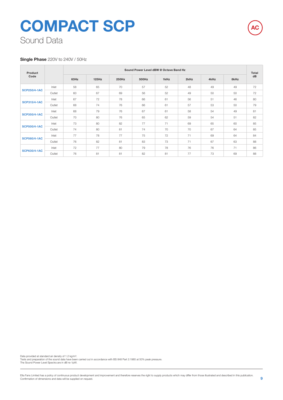#### **Single Phase** 220V to 240V / 50Hz

| Product<br>Code     |        |      |       |       | Sound Power Level dBW @ Octave Band Hz |      |      |      |      | <b>Total</b> |
|---------------------|--------|------|-------|-------|----------------------------------------|------|------|------|------|--------------|
|                     |        | 63Hz | 125Hz | 250Hz | 500Hz                                  | 1kHz | 2kHz | 4kHz | 8kHz | dB           |
|                     | Inlet  | 58   | 65    | 70    | 57                                     | 52   | 48   | 49   | 49   | 72           |
| <b>SCP250/4-1AC</b> | Outlet | 60   | 67    | 69    | 56                                     | 52   | 49   | 50   | 50   | 72           |
|                     | Inlet  | 67   | 72    | 78    | 66                                     | 61   | 56   | 51   | 46   | 80           |
| <b>SCP315/4-1AC</b> | Outlet | 68   | 74    | 76    | 66                                     | 61   | 57   | 53   | 50   | 79           |
|                     | Inlet  | 68   | 79    | 76    | 67                                     | 61   | 58   | 54   | 49   | 81           |
| <b>SCP350/4-1AC</b> | Outlet | 70   | 80    | 76    | 65                                     | 62   | 59   | 54   | 51   | 82           |
|                     | Inlet  | 73   | 80    | 82    | 77                                     | 71   | 69   | 65   | 60   | 85           |
| <b>SCP500/4-1AC</b> | Outlet | 74   | 80    | 81    | 74                                     | 70   | 70   | 67   | 64   | 85           |
|                     | Inlet  | 77   | 78    | 77    | 75                                     | 72   | 71   | 69   | 64   | 84           |
| <b>SCP560/4-1AC</b> | Outlet | 76   | 82    | 81    | 83                                     | 73   | 71   | 67   | 63   | 88           |
|                     | Inlet  | 72   | 77    | 80    | 79                                     | 78   | 76   | 76   | 71   | 86           |
| <b>SCP630/4-1AC</b> | Outlet | 76   | 81    | 81    | 82                                     | 81   | 77   | 73   | 69   | 88           |

Data provided at standard air density of 1.2 kg/m<sup>3</sup>. Tests and preparation of the sound data have been carried out in accordance with BS 848 Part 2:1985 at 50% peak pressure. The Sound Power Level Spectra are in dB re-1pW. **AC**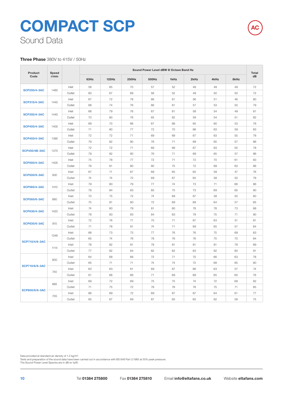#### **Three Phase** 380V to 415V / 50Hz

| Product               | Speed |        |      |       |       | Sound Power Level dBW @ Octave Band Hz |      |      |      |      | <b>Total</b> |
|-----------------------|-------|--------|------|-------|-------|----------------------------------------|------|------|------|------|--------------|
| Code                  | r/min |        | 63Hz | 125Hz | 250Hz | 500Hz                                  | 1kHz | 2kHz | 4kHz | 8kHz | dB           |
|                       |       | Inlet  | 58   | 65    | 70    | 57                                     | 52   | 48   | 49   | 49   | 72           |
| <b>SCP250/4-3AC</b>   | 1460  | Outlet | 60   | 67    | 69    | 56                                     | 52   | 49   | 50   | 50   | 72           |
|                       |       | Inlet  | 67   | 72    | 78    | 66                                     | 61   | 56   | 51   | 46   | 80           |
| <b>SCP315/4-3AC</b>   | 1445  | Outlet | 68   | 74    | 76    | 66                                     | 61   | 57   | 53   | 50   | 79           |
|                       |       | Inlet  | 68   | 79    | 76    | 67                                     | 61   | 58   | 54   | 49   | 81           |
| <b>SCP350/4-3AC</b>   | 1440  | Outlet | 70   | 80    | 76    | 65                                     | 62   | 59   | 54   | 51   | 82           |
|                       |       | Inlet  | 69   | 70    | 66    | 67                                     | 68   | 65   | 60   | 53   | 76           |
| <b>SCP400/4-3AC</b>   | 1400  | Outlet | 71   | 80    | 77    | 72                                     | 70   | 66   | 63   | 59   | 83           |
|                       |       | Inlet  | 72   | 72    | 71    | 69                                     | 69   | 67   | 63   | 55   | 78           |
| <b>SCP450/4-3AC</b>   | 1390  | Outlet | 79   | 82    | 80    | 76                                     | 71   | 69   | 65   | 57   | 86           |
|                       |       | Inlet  | 72   | 72    | 71    | 69                                     | 69   | 67   | 63   | 55   | 78           |
| <b>SCP450/4B-3AC</b>  | 1375  | Outlet | 79   | 82    | 80    | 76                                     | 71   | 69   | 65   | 57   | 86           |
|                       |       | Inlet  | 75   | 78    | 77    | 72                                     | 71   | 72   | 70   | 61   | 83           |
| <b>SCP500/4-3AC</b>   | 1405  | Outlet | 78   | 81    | 80    | 80                                     | 75   | 72   | 69   | 63   | 86           |
|                       |       | Inlet  | 67   | 71    | 67    | 68                                     | 65   | 65   | 59   | 47   | 76           |
| <b>SCP500/6-3AC</b>   | 930   | Outlet | 74   | 74    | 72    | 69                                     | 67   | 65   | 58   | 50   | 79           |
|                       |       | Inlet  | 79   | 80    | 79    | 77                                     | 74   | 73   | 71   | 66   | 86           |
| <b>SCP560/4-3AC</b>   | 1410  | Outlet | 78   | 84    | 83    | 85                                     | 75   | 73   | 69   | 65   | 90           |
|                       |       | Inlet  | 70   | 75    | 72    | 74                                     | 69   | 67   | 58   | 50   | 80           |
| <b>SCP560/6-3AC</b>   | 880   | Outlet | 75   | 81    | 80    | 72                                     | 69   | 68   | 64   | 57   | 85           |
|                       |       | Inlet  | 74   | 80    | 79    | 81                                     | 80   | 78   | 78   | 73   | 88           |
| <b>SCP630/4-3AC</b>   | 1420  | Outlet | 78   | 83    | 83    | 84                                     | 83   | 79   | 75   | 71   | 90           |
|                       |       | Inlet  | 72   | 76    | 71    | 75                                     | 71   | 67   | 63   | 51   | 81           |
| <b>SCP630/6-3AC</b>   | 915   | Outlet | 71   | 78    | 81    | 74                                     | 71   | 69   | 65   | 57   | 84           |
|                       |       | Inlet  | 68   | 73    | 73    | 77                                     | 76   | 76   | 75   | 69   | 83           |
|                       | 1346  | Outlet | 65   | 74    | 76    | 78                                     | 76   | 76   | 75   | 70   | 84           |
| <b>SCP710/4/6-3AC</b> |       | Inlet  | 78   | 82    | 81    | 79                                     | 81   | 81   | 81   | 78   | 89           |
|                       | 1114  | Outlet | 77   | 82    | 84    | 82                                     | 82   | 83   | 82   | 80   | 91           |
|                       |       | Inlet  | 64   | 68    | 66    | 72                                     | 71   | 70   | 66   | 63   | 78           |
|                       | 900   | Outlet | 65   | 71    | 71    | 74                                     | 74   | 72   | 68   | 65   | 80           |
| <b>SCP710/6/8-3AC</b> |       | Inlet  | 60   | 63    | 61    | 69                                     | 67   | 66   | 63   | 57   | 74           |
|                       | 740   | Outlet | 61   | 66    | 66    | 71                                     | 69   | 68   | 65   | 60   | 76           |
|                       |       | Inlet  | 69   | 72    | 69    | 75                                     | 75   | 74   | 72   | 68   | 82           |
|                       | 885   | Outlet | 71   | 75    | 72    | 78                                     | 78   | 78   | 75   | 71   | 85           |
| SCP800/6/8-3AC        |       | Inlet  | 66   | 69    | 72    | 69                                     | 67   | 67   | 64   | 61   | 77           |
|                       | 705   | Outlet | 65   | 67    | 69    | 67                                     | 65   | 65   | 62   | 58   | 75           |

Data provided at standard air density of 1.2 kg/m<sup>3</sup>.

Tests and preparation of the sound data have been carried out in accordance with BS 848 Part 2:1985 at 50% peak pressure. The Sound Power Level Spectra are in dB re-1pW.

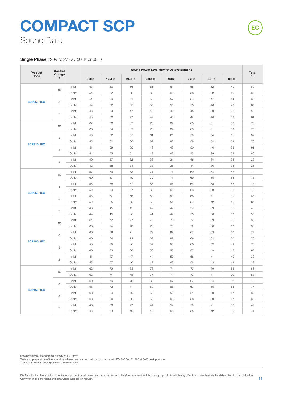#### **Single Phase** 220V to 277V / 50Hz or 60Hz

| Product           | Control        |        |      |       |       | Sound Power Level dBW @ Octave Band Hz |      |      |      |      | Total |
|-------------------|----------------|--------|------|-------|-------|----------------------------------------|------|------|------|------|-------|
| Code              | Voltage<br>V   |        | 63Hz | 125Hz | 250Hz | 500Hz                                  | 1kHz | 2kHz | 4kHz | 8kHz | dB    |
|                   |                | Inlet  | 53   | 60    | 66    | 61                                     | 61   | 58   | 52   | 49   | 69    |
|                   | 10             | Outlet | 54   | 62    | 63    | 62                                     | 60   | 58   | 52   | 49   | 69    |
|                   |                | Inlet  | 51   | 56    | 61    | 55                                     | 57   | 54   | 47   | 44   | 65    |
| <b>SCP250-1EC</b> | 8              | Outlet | 54   | 62    | 63    | 55                                     | 55   | 53   | 46   | 43   | 67    |
|                   |                | Inlet  | 46   | 50    | 47    | 46                                     | 43   | 45   | 39   | 38   | 55    |
|                   | 5              | Outlet | 53   | 60    | 47    | 42                                     | 43   | 47   | 40   | 39   | 61    |
|                   |                | Inlet  | 62   | 68    | 67    | 70                                     | 69   | 65   | 61   | 58   | 76    |
|                   | 10             | Outlet | 60   | 64    | 67    | 70                                     | 69   | 65   | 61   | 59   | 75    |
|                   | 8              | Inlet  | 56   | 62    | 65    | 61                                     | 61   | 59   | 54   | 51   | 69    |
|                   |                | Outlet | 55   | 62    | 66    | 62                                     | 60   | 59   | 54   | 52   | 70    |
| <b>SCP315-1EC</b> |                | Inlet  | 51   | 59    | 50    | 48                                     | 49   | 50   | 40   | 39   | 61    |
|                   | 5              | Outlet | 54   | 55    | 51    | 48                                     | 49   | 47   | 39   | 38   | 60    |
|                   |                | Inlet  | 40   | 37    | 32    | 33                                     | 34   | 48   | 34   | 34   | 29    |
|                   | $\overline{c}$ | Outlet | 42   | 38    | 34    | 33                                     | 35   | 44   | 36   | 35   | 26    |
|                   |                | Inlet  | 57   | 69    | 73    | 74                                     | 71   | 69   | 64   | 62   | 79    |
|                   | 10             | Outlet | 60   | 67    | 70    | 72                                     | 71   | 69   | 65   | 64   | 78    |
|                   |                | Inlet  | 56   | 68    | 67    | 66                                     | 64   | 64   | 58   | 55   | 73    |
|                   | 8              | Outlet | 59   | 64    | 67    | 66                                     | 65   | 63   | 59   | 56   | 73    |
| <b>SCP350-1EC</b> | 5              | Inlet  | 58   | 67    | 56    | 52                                     | 53   | 58   | 41   | 39   | 68    |
|                   |                | Outlet | 59   | 65    | 55    | 52                                     | 54   | 54   | 42   | 40   | 67    |
|                   |                | Inlet  | 46   | 45    | 41    | 42                                     | 49   | 59   | 39   | 38   | 40    |
|                   | $\mathbf{2}$   | Outlet | 44   | 45    | 36    | 41                                     | 49   | 53   | 38   | 37   | 35    |
|                   |                | Inlet  | 61   | 72    | 77    | 78                                     | 76   | 72   | 69   | 66   | 83    |
|                   | 10             | Outlet | 63   | 74    | 78    | 76                                     | 76   | 72   | 68   | 67   | 83    |
|                   |                | Inlet  | 60   | 69    | 71    | 73                                     | 68   | 67   | 63   | 60   | 77    |
|                   | 8              | Outlet | 60   | 64    | 72    | 68                                     | 68   | 66   | 62   | 60   | 76    |
| <b>SCP400-1EC</b> |                | Inlet  | 50   | 65    | 66    | 57                                     | 56   | 60   | 52   | 48   | 70    |
|                   | 5              | Outlet | 60   | 63    | 60    | 56                                     | 55   | 57   | 48   | 45   | 67    |
|                   |                | Inlet  | 41   | 47    | 47    | 44                                     | 50   | 58   | 41   | 40   | 39    |
|                   | $\mathbf{2}$   | Outlet | 53   | 57    | 46    | 42                                     | 49   | 56   | 43   | 42   | 38    |
|                   |                | Inlet  | 62   | 79    | 83    | 78                                     | 74   | 73   | 70   | 68   | 86    |
|                   | 10             | Outlet | 62   | 74    | 78    | 77                                     | 74   | 72   | 71   | 70   | 83    |
|                   |                | Inlet  | 60   | 76    | 70    | 69                                     | 67   | 67   | 64   | 62   | 79    |
|                   | 8              | Outlet | 58   | 72    | 71    | 69                                     | 68   | 67   | 65   | 63   | 77    |
| <b>SCP450-1EC</b> |                | Inlet  | 63   | 64    | 59    | 55                                     | 59   | 61   | 50   | 47   | 69    |
|                   | 5              | Outlet | 63   | 60    | 58    | 55                                     | 60   | 58   | 50   | 47   | 68    |
|                   |                | Inlet  | 43   | 56    | 47    | 44                                     | 59   | 59   | 41   | 38   | 42    |
|                   | $\mathbf{2}$   | Outlet | 46   | 53    | 49    | 46                                     | 60   | 55   | 42   | 39   | 41    |

Data provided at standard air density of 1.2 kg/m³.

Tests and preparation of the sound data have been carried out in accordance with BS 848 Part 2:1985 at 50% peak pressure. The Sound Power Level Spectra are in dB re-1pW.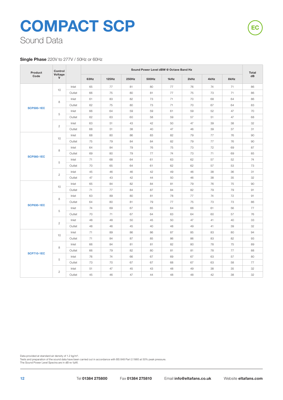#### **Single Phase** 220V to 277V / 50Hz or 60Hz

| Product           | Control        |        |      |       |       |       | Sound Power Level dBW @ Octave Band Hz |      |      |      | <b>Total</b> |
|-------------------|----------------|--------|------|-------|-------|-------|----------------------------------------|------|------|------|--------------|
| Code              | Voltage<br>V   |        | 63Hz | 125Hz | 250Hz | 500Hz | 1kHz                                   | 2kHz | 4kHz | 8kHz | dB           |
|                   |                | Inlet  | 65   | 77    | 81    | 80    | 77                                     | 76   | 74   | 71   | 86           |
|                   | 10             | Outlet | 66   | 75    | 80    | 81    | 77                                     | 75   | 73   | 71   | 86           |
|                   |                | Inlet  | 61   | 83    | 82    | 73    | 71                                     | 70   | 68   | 64   | 86           |
| <b>SCP500-1EC</b> | 8              | Outlet | 62   | 75    | 80    | 73    | 71                                     | 70   | 67   | 64   | 83           |
|                   | 5              | Inlet  | 66   | 64    | 59    | 59    | 61                                     | 59   | 52   | 47   | 70           |
|                   |                | Outlet | 62   | 63    | 60    | 58    | 59                                     | 57   | 51   | 47   | 68           |
|                   | $\mathbf{2}$   | Inlet  | 63   | 51    | 43    | 42    | 50                                     | 47   | 39   | 38   | 32           |
|                   |                | Outlet | 68   | 51    | 38    | 40    | 47                                     | 46   | 39   | 37   | 31           |
|                   | 10             | Inlet  | 68   | 80    | 86    | 83    | 82                                     | 79   | 77   | 76   | 90           |
|                   |                | Outlet | 75   | 79    | 84    | 84    | 82                                     | 79   | 77   | 76   | 90           |
|                   | 8              | Inlet  | 64   | 84    | 79    | 76    | 75                                     | 73   | 72   | 69   | 87           |
| <b>SCP560-1EC</b> |                | Outlet | 69   | 80    | 79    | 77    | 74                                     | 73   | 71   | 69   | 85           |
|                   | 5              | Inlet  | 71   | 68    | 64    | 61    | 63                                     | 62   | 57   | 52   | 74           |
|                   |                | Outlet | 70   | 65    | 64    | 61    | 62                                     | 62   | 57   | 53   | 73           |
|                   | $\overline{c}$ | Inlet  | 45   | 46    | 46    | 42    | 49                                     | 46   | 38   | 36   | 31           |
|                   |                | Outlet | 47   | 43    | 42    | 44    | 50                                     | 46   | 38   | 35   | 32           |
|                   | 10             | Inlet  | 65   | 84    | 82    | 84    | 81                                     | 79   | 76   | 75   | 90           |
|                   |                | Outlet | 71   | 77    | 84    | 87    | 84                                     | 82   | 79   | 79   | 91           |
|                   | 8              | Inlet  | 63   | 89    | 80    | 81    | 78                                     | 77   | 74   | 72   | 91           |
| <b>SCP630-1EC</b> |                | Outlet | 64   | 80    | 81    | 79    | 77                                     | 75   | 73   | 73   | 86           |
|                   |                | Inlet  | 74   | 69    | 67    | 65    | 64                                     | 66   | 61   | 56   | 77           |
|                   | 5              | Outlet | 70   | 71    | 67    | 64    | 63                                     | 64   | 60   | 57   | 76           |
|                   | $\mathbf{2}$   | Inlet  | 48   | 48    | 50    | 45    | 50                                     | 47   | 41   | 40   | 33           |
|                   |                | Outlet | 48   | 46    | 45    | 40    | 48                                     | 49   | 41   | 39   | 32           |
|                   | 10             | Inlet  | 71   | 89    | 86    | 86    | 87                                     | 85   | 83   | 80   | 94           |
|                   |                | Outlet | 71   | 84    | 87    | 85    | 86                                     | 86   | 83   | 82   | 93           |
|                   | 8              | Inlet  | 66   | 84    | 81    | 81    | 82                                     | 80   | 78   | 75   | 89           |
| <b>SCP710-1EC</b> |                | Outlet | 66   | 79    | 82    | 80    | 81                                     | 81   | 78   | 77   | 88           |
|                   | 5              | Inlet  | 76   | 74    | 66    | 67    | 69                                     | 67   | 63   | 57   | 80           |
|                   |                | Outlet | 73   | 70    | 67    | 67    | 68                                     | 67   | 63   | 58   | 77           |
|                   | $\mathbf{2}$   | Inlet  | 51   | 47    | 45    | 43    | 48                                     | 49   | 38   | 35   | 32           |
|                   |                | Outlet | 45   | 46    | 47    | 44    | 48                                     | 48   | 42   | 38   | 32           |

Data provided at standard air density of 1.2 kg/m³.

Tests and preparation of the sound data have been carried out in accordance with BS 848 Part 2:1985 at 50% peak pressure. The Sound Power Level Spectra are in dB re-1pW.

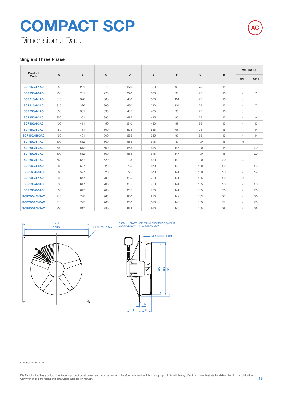Dimensional Data

#### **Single & Three Phase**

| Product               |     |     |     | D<br>E<br>F<br>G<br>н | Weight kg |     |     |    |                          |                          |
|-----------------------|-----|-----|-----|-----------------------|-----------|-----|-----|----|--------------------------|--------------------------|
| Code                  | Α   | B   | c   |                       |           |     |     |    | 1PH                      | 3PH                      |
| <b>SCP250/4-1AC</b>   | 250 | 261 | 275 | 370                   | 320       | 95  | 75  | 15 | 5                        | $\overline{\phantom{a}}$ |
| <b>SCP250/4-3AC</b>   | 250 | 261 | 275 | 370                   | 320       | 95  | 75  | 15 | $\sim$                   | 7                        |
| <b>SCP315/4-1AC</b>   | 315 | 326 | 360 | 430                   | 380       | 104 | 75  | 15 | 6                        | $\overline{\phantom{a}}$ |
| <b>SCP315/4-3AC</b>   | 315 | 326 | 360 | 430                   | 380       | 104 | 75  | 15 | $\overline{\phantom{a}}$ | $\overline{7}$           |
| <b>SCP350/4-1AC</b>   | 350 | 361 | 395 | 485                   | 435       | 95  | 75  | 15 | 6                        | $\overline{\phantom{a}}$ |
| <b>SCP350/4-3AC</b>   | 350 | 361 | 395 | 485                   | 435       | 95  | 75  | 15 | $\sim$                   | 8                        |
| <b>SCP400/4-3AC</b>   | 400 | 411 | 450 | 540                   | 490       | 97  | 95  | 15 | $\sim$                   | 13                       |
| <b>SCP450/4-3AC</b>   | 450 | 461 | 500 | 575                   | 535       | 95  | 95  | 15 | $\sim$                   | 14                       |
| <b>SCP450/4B-3AC</b>  | 450 | 461 | 500 | 575                   | 535       | 95  | 95  | 15 | $\overline{\phantom{a}}$ | 14                       |
| <b>SCP500/4-1AC</b>   | 500 | 512 | 560 | 655                   | 615       | 89  | 100 | 15 | 16                       | $\sim$                   |
| <b>SCP500/4-3AC</b>   | 500 | 512 | 560 | 655                   | 615       | 147 | 100 | 15 | $\sim$                   | 20                       |
| <b>SCP500/6-3AC</b>   | 500 | 512 | 560 | 655                   | 615       | 147 | 100 | 15 | $\sim$                   | 20                       |
| <b>SCP560/4-1AC</b>   | 560 | 577 | 620 | 725                   | 670       | 149 | 100 | 20 | 24                       | $\sim$                   |
| <b>SCP560/4-3AC</b>   | 560 | 577 | 620 | 725                   | 670       | 149 | 100 | 20 | $\sim$                   | 24                       |
| <b>SCP560/6-3AC</b>   | 560 | 577 | 620 | 725                   | 670       | 141 | 100 | 20 | $\sim$                   | 24                       |
| <b>SCP630/4-1AC</b>   | 630 | 647 | 700 | 805                   | 750       | 141 | 105 | 20 | 24                       | $\sim$                   |
| <b>SCP630/4-3AC</b>   | 630 | 647 | 700 | 805                   | 750       | 141 | 105 | 20 | $\sim$                   | 30                       |
| <b>SCP630/6-3AC</b>   | 630 | 647 | 700 | 805                   | 750       | 141 | 105 | 20 | $\sim$                   | 30                       |
| <b>SCP710/4/6-3AC</b> | 710 | 725 | 765 | 850                   | 810       | 143 | 103 | 27 | $\sim$                   | 30                       |
| <b>SCP710/6/8-3AC</b> | 710 | 725 | 765 | 850                   | 810       | 143 | 103 | 27 | $\overline{\phantom{a}}$ | 30                       |
| SCP800/6/8-3AC        | 800 | 817 | 880 | 973                   | 910       | 146 | 105 | 28 | $\sim$                   | 36                       |





550MM LENGTH OF 20MM FLEXIBLE CONDUIT COMPLETE WITH TERMINAL BOX



Dimensions are in mm.

**AC**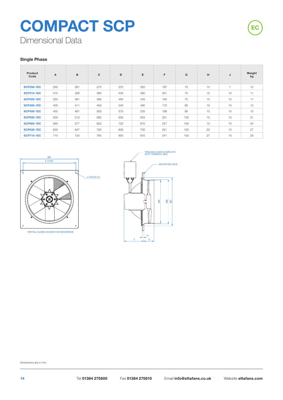

Dimensional Data

#### **Single Phase**

| Product<br>Code   | A   | B   | c   | D   | E   | F   | G   | H  | J              | Weight<br>kg |
|-------------------|-----|-----|-----|-----|-----|-----|-----|----|----------------|--------------|
| <b>SCP250-1EC</b> | 250 | 261 | 275 | 370 | 320 | 197 | 75  | 15 | $\overline{7}$ | 10           |
| <b>SCP315-1EC</b> | 315 | 326 | 360 | 430 | 380 | 201 | 75  | 15 | 10             | 11           |
| <b>SCP350-1EC</b> | 350 | 361 | 395 | 485 | 435 | 194 | 75  | 15 | 10             | 11           |
| <b>SCP400-1EC</b> | 400 | 411 | 450 | 540 | 490 | 170 | 95  | 15 | 10             | 13           |
| <b>SCP450-1EC</b> | 450 | 461 | 500 | 575 | 535 | 198 | 95  | 15 | 10             | 15           |
| <b>SCP500-1EC</b> | 500 | 512 | 560 | 655 | 655 | 231 | 100 | 15 | 10             | 21           |
| <b>SCP560-1EC</b> | 560 | 577 | 620 | 725 | 670 | 247 | 100 | 15 | 10             | 24           |
| <b>SCP630-1EC</b> | 630 | 647 | 700 | 805 | 750 | 251 | 105 | 20 | 10             | 27           |
| <b>SCP710-1EC</b> | 710 | 725 | 765 | 850 | 810 | 241 | 103 | 27 | 10             | 29           |





Dimensions are in mm.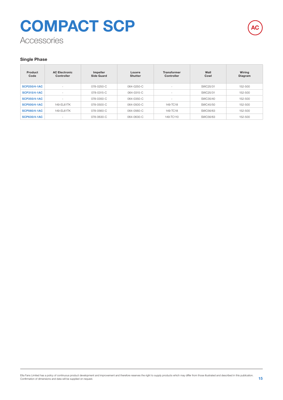## **Accessories COMPACT SCP**



#### **Single Phase**

| Product<br>Code     | <b>AC Electronic</b><br>Controller | Impeller<br>Side Guard | Louvre<br><b>Shutter</b> | <b>Transformer</b><br>Controller | Wall<br>Cowl | Wiring<br>Diagram |
|---------------------|------------------------------------|------------------------|--------------------------|----------------------------------|--------------|-------------------|
| <b>SCP250/4-1AC</b> | $\sim$                             | 078-0250-C             | 064-0250-C               | i al                             | SWC25/31     | 152-500           |
| <b>SCP315/4-1AC</b> | $\sim$                             | 078-0315-C             | 064-0315-C               | $\overline{\phantom{a}}$         | SWC25/31     | 152-500           |
| <b>SCP350/4-1AC</b> | $\overline{\phantom{a}}$           | 078-0350-C             | 064-0350-C               | $\overline{\phantom{a}}$         | SWC35/40     | 152-500           |
| <b>SCP500/4-1AC</b> | 149-FI 61TK                        | 078-0500-C             | 064-0500-C               | 149-TC18                         | SWC45/50     | 152-500           |
| <b>SCP560/4-1AC</b> | 149-FI 61TK                        | 078-0560-C             | 064-0560-C               | 149-TC18                         | SWC56/63     | $152 - 500$       |
| <b>SCP630/4-1AC</b> | $\sim$                             | 078-0630-C             | 064-0630-C               | 149-TC110                        | SWC56/63     | 152-500           |

Elta Fans Limited has a policy of continuous product development and improvement and therefore reserves the right to supply products which may differ from those illustrated and described in this publication.<br>Confirmation o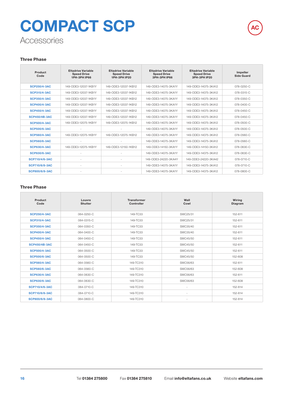## **Accessories COMPACT SCP**



#### **Three Phase**

| Product<br>Code       | <b>Eltadrive Variable</b><br><b>Speed Drive</b><br>1PH-3PH IP66 | <b>Eltadrive Variable</b><br><b>Speed Drive</b><br>1PH-3PH IP20 | <b>Eltadrive Variable</b><br><b>Speed Drive</b><br><b>3PH-3PH IP66</b> | <b>Eltadrive Variable</b><br><b>Speed Drive</b><br>3PH-3PH IP20 | Impeller<br><b>Side Guard</b> |
|-----------------------|-----------------------------------------------------------------|-----------------------------------------------------------------|------------------------------------------------------------------------|-----------------------------------------------------------------|-------------------------------|
| <b>SCP250/4-3AC</b>   | 149-ODE3-12037-1KB1Y                                            | 149-ODE3-12037-1KB12                                            | 149-ODE3-14075-3KA1Y                                                   | 149-ODE3-14075-3KA12                                            | 078-0250-C                    |
| <b>SCP315/4-3AC</b>   | 149-ODE3-12037-1KB1Y                                            | 149-ODE3-12037-1KB12                                            | 149-ODE3-14075-3KA1Y                                                   | 149-ODE3-14075-3KA12                                            | 078-0315-C                    |
| <b>SCP350/4-3AC</b>   | 149-ODE3-12037-1KB1Y                                            | 149-ODE3-12037-1KB12                                            | 149-ODE3-14075-3KA1Y                                                   | 149-ODE3-14075-3KA12                                            | 078-0350-C                    |
| <b>SCP400/4-3AC</b>   | 149-ODE3-12037-1KB1Y                                            | 149-ODE3-12037-1KB12                                            | 149-ODE3-14075-3KA1Y                                                   | 149-ODE3-14075-3KA12                                            | 078-0400-C                    |
| <b>SCP450/4-3AC</b>   | 149-ODE3-12037-1KB1Y                                            | 149-ODE3-12037-1KB12                                            | 149-ODE3-14075-3KA1Y                                                   | 149-ODE3-14075-3KA12                                            | 078-0450-C                    |
| <b>SCP450/4B-3AC</b>  | 149-ODE3-12037-1KB1Y                                            | 149-ODE3-12037-1KB12                                            | 149-ODE3-14075-3KA1Y                                                   | 149-ODE3-14075-3KA12                                            | $078 - 0450 - C$              |
| <b>SCP500/4-3AC</b>   | 149-ODE3-12075-1KB1Y                                            | 149-ODE3-12075-1KB12                                            | 149-ODE3-14075-3KA1Y                                                   | 149-ODE3-14075-3KA12                                            | 078-0500-C                    |
| <b>SCP500/6-3AC</b>   |                                                                 |                                                                 | 149-ODE3-14075-3KA1Y                                                   | 149-ODE3-14075-3KA12                                            | 078-0500-C                    |
| <b>SCP560/4-3AC</b>   | 149-ODE3-12075-1KB1Y                                            | 149-ODE3-12075-1KB12                                            | 149-ODE3-14075-3KA1Y                                                   | 149-ODE3-14075-3KA12                                            | 078-0560-C                    |
| <b>SCP560/6-3AC</b>   |                                                                 | ÷                                                               | 149-ODE3-14075-3KA1Y                                                   | 149-ODE3-14075-3KA12                                            | 078-0560-C                    |
| <b>SCP630/4-3AC</b>   | 149-ODE3-12075-1KB1Y                                            | 149-ODE3-12150-1KB12                                            | 149-ODE3-14150-3KA1Y                                                   | 149-ODE3-14150-3KA12                                            | 078-0630-C                    |
| <b>SCP630/6-3AC</b>   |                                                                 | ٠                                                               | 149-ODE3-14075-3KA1Y                                                   | 149-ODE3-14075-3KA12                                            | 078-0630-C                    |
| <b>SCP710/4/6-3AC</b> |                                                                 |                                                                 | 149-ODE3-24220-3KA4Y                                                   | 149-ODE3-24220-3KA42                                            | 078-0710-C                    |
| <b>SCP710/6/8-3AC</b> | $\sim$                                                          | ٠                                                               | 149-ODE3-14075-3KA1Y                                                   | 149-ODE3-14075-3KA12                                            | 078-0710-C                    |
| <b>SCP800/6/8-3AC</b> |                                                                 |                                                                 | 149-ODE3-14075-3KA1Y                                                   | 149-ODE3-14075-3KA12                                            | 078-0800-C                    |

#### **Three Phase**

| Product<br>Code       | Louvre<br><b>Shutter</b> | <b>Transformer</b><br>Controller | Wall<br>Cowl             | Wiring<br>Diagram |
|-----------------------|--------------------------|----------------------------------|--------------------------|-------------------|
| <b>SCP250/4-3AC</b>   | 064-0250-C               | 149-TC33                         | SWC25/31                 | 152-611           |
| <b>SCP315/4-3AC</b>   | 064-0315-C               | 149-TC33                         | SWC25/31                 | 152-611           |
| <b>SCP350/4-3AC</b>   | 064-0350-C               | 149-TC33                         | SWC35/40                 | 152-611           |
| <b>SCP400/4-3AC</b>   | 064-0400-C               | 149-TC33                         | SWC35/40                 | 152-611           |
| <b>SCP450/4-3AC</b>   | 064-0450-C               | 149-TC33                         | SWC45/50                 | 152-611           |
| <b>SCP450/4B-3AC</b>  | 064-0450-C               | 149-TC33                         | SWC45/50                 | 152-611           |
| <b>SCP500/4-3AC</b>   | 064-0500-C               | 149-TC33                         | SWC45/50                 | 152-611           |
| <b>SCP500/6-3AC</b>   | 064-0500-C               | 149-TC33                         | SWC45/50                 | 152-608           |
| <b>SCP560/4-3AC</b>   | 064-0560-C               | 149-TC310                        | SWC56/63                 | 152-611           |
| <b>SCP560/6-3AC</b>   | 064-0560-C               | 149-TC310                        | SWC56/63                 | 152-608           |
| <b>SCP630/4-3AC</b>   | 064-0630-C               | 149-TC310                        | SWC56/63                 | 152-611           |
| <b>SCP630/6-3AC</b>   | 064-0630-C               | 149-TC310                        | SWC56/63                 | 152-608           |
| <b>SCP710/4/6-3AC</b> | 064-0710-C               | 149-TC310                        | ٠                        | 152-614           |
| <b>SCP710/6/8-3AC</b> | 064-0710-C               | 149-TC310                        |                          | 152-614           |
| <b>SCP800/6/8-3AC</b> | 064-0800-C               | 149-TC310                        | $\overline{\phantom{a}}$ | 152-614           |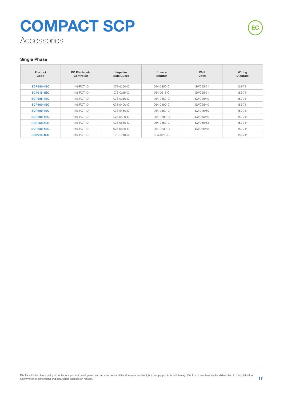## **Accessories COMPACT SCP**

#### **Single Phase**

| Product<br>Code   | <b>EC Electronic</b><br>Controller | Impeller<br>Side Guard | Louvre<br><b>Shutter</b> | Wall<br>Cowl | Wiring<br>Diagram |
|-------------------|------------------------------------|------------------------|--------------------------|--------------|-------------------|
| <b>SCP250-1EC</b> | 149-POT-10                         | 078-0250-C             | 064-0250-C               | SWC25/31     | 152-711           |
| <b>SCP315-1EC</b> | 149-POT-10                         | 078-0315-C             | 064-0315-C               | SWC25/31     | 152-711           |
| <b>SCP355-1EC</b> | 149-POT-10                         | 078-0350-C             | 064-0350-C               | SWC35/40     | 152-711           |
| <b>SCP400-1EC</b> | 149-POT-10                         | $078 - 0400 - C$       | 064-0400-C               | SWC35/40     | 152-711           |
| <b>SCP450-1EC</b> | 149-POT-10                         | 078-0450-C             | 064-0450-C               | SWC45/50     | 152-711           |
| <b>SCP500-1EC</b> | 149-POT-10                         | 078-0500-C             | 064-0500-C               | SWC45/50     | 152-711           |
| <b>SCP560-1EC</b> | 149-POT-10                         | 078-0560-C             | 064-0560-C               | SWC56/63     | 152-711           |
| <b>SCP630-1EC</b> | 149-POT-10                         | 078-0630-C             | 064-0630-C               | SWC56/63     | 152-711           |
| <b>SCP710-1EC</b> | 149-POT-10                         | 078-0710-C             | 064-0710-C               | ٠            | 152-711           |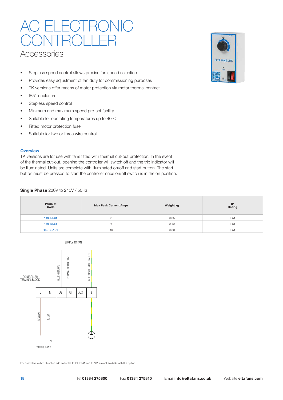### **Accessories ECTRONIC** CONTROLLER

- Stepless speed control allows precise fan speed selection
- Provides easy adjustment of fan duty for commissioning purposes
- TK versions offer means of motor protection via motor thermal contact
- IP51 enclosure
- Stepless speed control
- Minimum and maximum speed pre-set facility
- Suitable for operating temperatures up to 40°C
- Fitted motor protection fuse
- Suitable for two or three wire control

#### **Overview**

TK versions are for use with fans fitted with thermal cut-out protection. In the event of the thermal cut-out, opening the controller will switch off and the trip indicator will be illuminated. Units are complete with illuminated on/off and start button. The start button must be pressed to start the controller once on/off switch is in the on position.

#### **Single Phase** 220V to 240V / 50Hz

| Product<br><b>Max Peak Current Amps</b><br>Code |    | Weight kg | IP<br>Rating |
|-------------------------------------------------|----|-----------|--------------|
| 149-EL31                                        | з  | 0.35      | IP51         |
| 149-EL61                                        | h  | 0.40      | IP51         |
| 149-EL101                                       | 10 | 0.80      | IP51         |



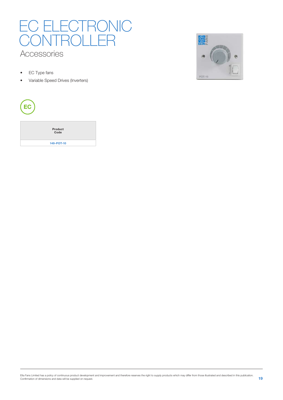### Accessories EC ELECTRONIC CONTROLLER

- EC Type fans
- Variable Speed Drives (Inverters)



| Product<br>Code |
|-----------------|
| 149-POT-10      |

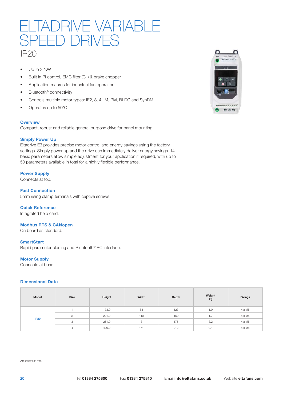### IP20 LIADRIVE VARIABL SPEED DRIVES

- Up to 22kW
- Built in PI control, EMC filter (C1) & brake chopper
- Application macros for industrial fan operation
- Bluetooth<sup>®</sup> connectivity
- Controls multiple motor types: IE2, 3, 4, IM, PM, BLDC and SynRM
- Operates up to 50\*C

#### **Overview**

Compact, robust and reliable general purpose drive for panel mounting.

#### **Simply Power Up**

Eltadrive E3 provides precise motor control and energy savings using the factory settings. Simply power up and the drive can immediately deliver energy savings. 14 basic parameters allow simple adjustment for your application if required, with up to 50 parameters available in total for a highly flexible performance.

#### **Power Supply**

Connects at top.

**Fast Connection** 5mm rising clamp terminals with captive screws.

#### **Quick Reference**

Integrated help card.

#### **Modbus RTS & CANopen**

On board as standard.

#### **SmartStart**

Rapid parameter cloning and Bluetooth® PC interface.

#### **Motor Supply**

Connects at base.

#### **Dimensional Data**

| Model       | Size | Height | Width | Depth | Weight<br>kg | <b>Fixings</b> |
|-------------|------|--------|-------|-------|--------------|----------------|
| <b>IP20</b> |      | 173.0  | 83    | 123   | 1.0          | $4 \times M5$  |
|             |      | 221.0  | 110   | 150   | 1.7          | $4 \times M5$  |
|             | 3    | 261.0  | 131   | 175   | 3.2          | $4 \times M5$  |
|             |      | 420.0  | 171   | 212   | 9.1          | $4 \times M8$  |

Dimensions in mm.

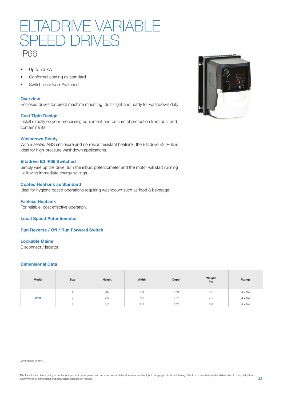

- Up to 7.5kW
- Conformal coating as standard
- Switched or Non-Switched

#### **Overview**

Enclosed drives for direct machine mounting, dust-tight and ready for washdown duty.

#### **Dust Tight Design**

Install directly on your processing equipment and be sure of protection from dust and contaminants.

#### **Washdown Ready**

With a sealed ABS enclosure and corrosion resistant heatsink, the Eltadrive E3 IP66 is ideal for high-pressure washdown applications.

#### **Eltadrive E3 IP66 Switched**

Simply wire up the drive, turn the inbuilt potentiometer and the motor will start running - allowing immediate energy savings.

#### **Coated Heatsink as Standard**

Ideal for hygiene based operations requiring washdown such as food & beverage.

**Fanless Heatsink** For reliable, cost effective operation.

**Local Speed Potentiometer**

**Run Reverse / Off / Run Forward Switch**

#### **Lockable Mains**

Disconnect / Isolator.

#### **Dimensional Data**

| Model       | Size | Height | Width | Depth | Weight<br>kg | <b>Fixings</b> |
|-------------|------|--------|-------|-------|--------------|----------------|
| <b>IP66</b> |      | 232    | 161   | 179   | 3.1          | $4 \times M4$  |
|             |      | 257    | 188   | 187   | 4.1          | $4 \times M4$  |
|             | 3    | 310    | 211   | 252   | 7.6          | $4 \times M4$  |

Dimensions in mm.



Elta Fans Limited has a policy of continuous product development and improvement and therefore reserves the right to supply products which may differ from those illustrated and described in this publication.<br>21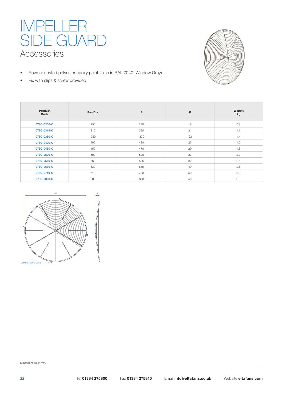### Accessories IMPELLER SIDE GUARD

- Powder coated polyester epoxy paint finish in RAL 7040 (Window Grey)
- Fix with clips & screw provided



| Product<br>Code | Fan Dia. | $\mathsf{A}$ | в  | Weight<br>kg |
|-----------------|----------|--------------|----|--------------|
| 078C-0250-C     | 250      | 270          | 18 | 0.9          |
| 078C-0315-C     | 315      | 335          | 21 | 1.1          |
| 078C-0350-C     | 350      | 370          | 23 | 1.4          |
| 078C-0400-C     | 400      | 420          | 26 | 1.6          |
| 078C-0450-C     | 450      | 470          | 29 | 1.8          |
| 078C-0500-C     | 500      | 520          | 32 | 2.2          |
| 078C-0560-C     | 560      | 585          | 32 | 2.5          |
| 078C-0630-C     | 630      | 655          | 40 | 2.6          |
| 078C-0710-C     | 710      | 730          | 50 | 3.2          |
| 078C-0800-C     | 800      | 820          | 50 | 3.5          |



Dimensions are in mm.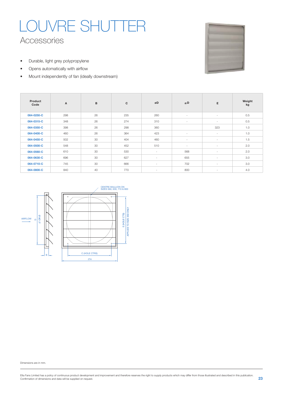## Accessories LOUVRE SHUTTER

- Durable, light grey polypropylene
- Opens automatically with airflow
- Mount independently of fan (ideally downstream)

| Product<br>Code | $\boldsymbol{\mathsf{A}}$ | B  | c   | øD     | <b>ØD</b> | E      | Weight<br>kg |
|-----------------|---------------------------|----|-----|--------|-----------|--------|--------------|
| 064-0250-C      | 298                       | 26 | 235 | 260    | $\sim$    | $\sim$ | 0.5          |
| 064-0315-C      | 348                       | 26 | 274 | 310    | $\sim$    | $\sim$ | 0.5          |
| 064-0350-C      | 398                       | 26 | 298 | 360    |           | 323    | 1.0          |
| 064-0400-C      | 460                       | 26 | 364 | 423    | $\sim$    | $\sim$ | 1.0          |
| 064-0450-C      | 502                       | 30 | 404 | 460    | $\sim$    | $\sim$ | 1.5          |
| 064-0500-C      | 548                       | 30 | 452 | 510    | $\sim$    | $\sim$ | 2.0          |
| 064-0560-C      | 610                       | 30 | 530 | $\sim$ | 568       | $\sim$ | 2.0          |
| 064-0630-C      | 696                       | 30 | 627 | $\sim$ | 655       | $\sim$ | 3.0          |
| 064-0710-C      | 745                       | 30 | 666 | $\sim$ | 702       | $\sim$ | 3.0          |
| 064-0800-C      | 840                       | 40 | 770 | $\sim$ | 800       | $\sim$ | 4.0          |



Dimensions are in mm.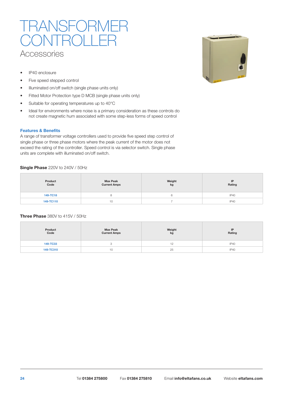### **Accessories JSFOF**  $\prec$ ( )|

- IP40 enclosure
- Five speed stepped control
- Illuminated on/off switch (single phase units only)
- Fitted Motor Protection type D MCB (single phase units only)
- Suitable for operating temperatures up to 40°C
- Ideal for environments where noise is a primary consideration as these controls do not create magnetic hum associated with some step-less forms of speed control

#### **Features & Benefits**

A range of transformer voltage controllers used to provide five speed step control of single phase or three phase motors where the peak current of the motor does not exceed the rating of the controller. Speed control is via selector switch. Single phase units are complete with illuminated on/off switch.

#### **Single Phase** 220V to 240V / 50Hz

| Product<br>Code | <b>Max Peak</b><br><b>Current Amps</b> | Weight<br>kg | IP<br>Rating |  |
|-----------------|----------------------------------------|--------------|--------------|--|
| 149-TC18        |                                        |              | <b>IP40</b>  |  |
| 149-TC110<br>10 |                                        |              | <b>IP40</b>  |  |

#### **Three Phase** 380V to 415V / 50Hz

| Product<br>Code      | <b>Max Peak</b><br><b>Current Amps</b> | Weight<br>kg | IP<br>Rating |  |
|----------------------|----------------------------------------|--------------|--------------|--|
| <b>149-TC33</b><br>ю |                                        | ╶            | IP40         |  |
| 149-TC310            | 10                                     | 25           | <b>IP40</b>  |  |

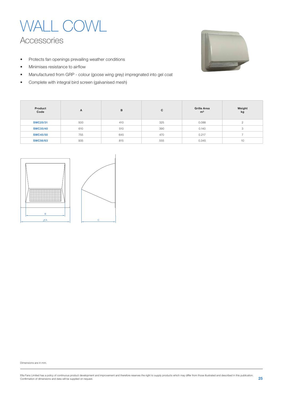

- Protects fan openings prevailing weather conditions
- Minimises resistance to airflow
- Manufactured from GRP colour (goose wing grey) impregnated into gel coat
- Complete with integral bird screen (galvanised mesh)



| Product<br>Code | A   | B   | C   | <b>Grille Area</b><br>m <sup>2</sup> | Weight<br>kg |
|-----------------|-----|-----|-----|--------------------------------------|--------------|
| <b>SWC25/31</b> | 500 | 410 | 325 | 0.088                                |              |
| <b>SWC35/40</b> | 610 | 510 | 390 | 0.140                                | 3            |
| <b>SWC45/50</b> | 755 | 645 | 470 | 0.217                                |              |
| <b>SWC56/63</b> | 935 | 815 | 555 | 0.345                                | 10           |



Dimensions are in mm.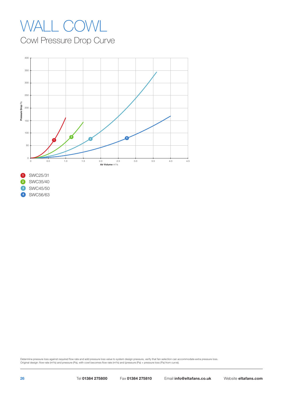## WALL COWL

Cowl Pressure Drop Curve



Determine pressure loss against required flow rate and add pressure loss value to system design pressure, verify that fan selection can accommodate extra pressure loss. Original design: flow rate (m<sup>3</sup>/s) and pressure (Pa), with cowl becomes flow rate (m<sup>3/</sup>s) and (pressure (Pa) + pressure loss (Pa) from curve).

SWC56/63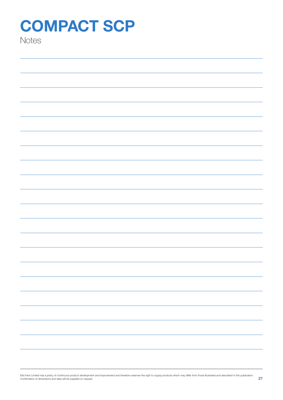**Notes** 

Elta Fans Limited has a policy of continuous product development and improvement and therefore reserves the right to supply products which may differ from those illustrated and described in this publication.<br>Confirmation o